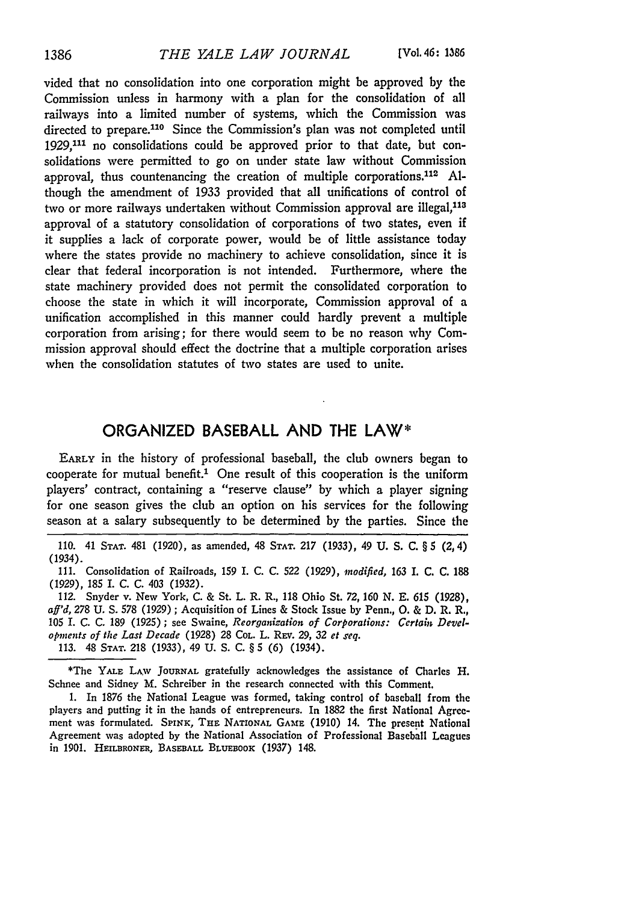vided that no consolidation into one corporation might be approved by the Commission unless in harmony with a plan for the consolidation of all railways into a limited number of systems, which the Commission was directed to prepare.<sup>110</sup> Since the Commission's plan was not completed until 1929,111 no consolidations could be approved prior to that date, but consolidations were permitted to go on under state law without Commission approval, thus countenancing the creation of multiple corporations.<sup>112</sup> Although the amendment of 1933 provided that all unifications of control of two or more railways undertaken without Commission approval are illegal,<sup>113</sup> approval of a statutory consolidation of corporations of two states, even if it supplies a lack of corporate power, would be of little assistance today where the states provide no machinery to achieve consolidation, since it is clear that federal incorporation is not intended. Furthermore, where the state machinery provided does not permit the consolidated corporation to choose the state in which it will incorporate, Commission approval of a unification accomplished in this manner could hardly prevent a multiple corporation from arising; for there would seem to be no reason why Commission approval should effect the doctrine that a multiple corporation arises when the consolidation statutes of two states are used to unite.

## ORGANIZED **BASEBALL AND** THE LAW\*

**EARLY** in the history of professional baseball, the club owners began to cooperate for mutual benefit.' One result of this cooperation is the uniform players' contract, containing a "reserve clause" by which a player signing for one season gives the club an option on his services for the following season at a salary subsequently to be determined by the parties. Since the

110. 41 **STAT.** 481 **(1920),** as amended, 48 **STAT. 217** (1933), 49 **U.** S. **C.** § 5 (2,4) (1934).

**111.** Consolidation of Railroads, 159 I. C. C. 522 (1929), *modified,* 163 I. C. C. **188** (1929), **185** I. C. C. 403 (1932).

112. Snyder v. New York, C. & St. L. R. R., **118** Ohio St. **72,** *160* N. E. 615 (1928), *aff'd,* **278 U.** *S.* **578** (1929) ; Acquisition of Lines & Stock Issue **by** Penn., **0.** & D. R. R., **105 I.** C. **C.** 189 (1925) ; see Swaine, *Reorganization of Corporations: Certain Developmnents of the Last Decade* (1928) 28 COL. L. REV. 29, 32 *et seq.* 113. 48 **STAT.** 218 (1933), 49 U. S. C. § **5** (6) (1934).

\*The **YALE** LAV **JOURNAL** gratefully acknowledges the assistance of Charles H. Schnee and Sidney M. Schreiber in the research connected with this Comment.

1. In 1876 the National League was formed, taking control of baseball from the players and putting it in the hands of entrepreneurs. In 1882 the first National Agreement was formulated. *SPiNK,* THE NATIONAL **GAME** (1910) 14. The present National Agreement was adopted by the National Association of Professional Baseball Leagues in 1901. **HEILBRONER, BASEBALL BLUEBOOK** (1937) 148.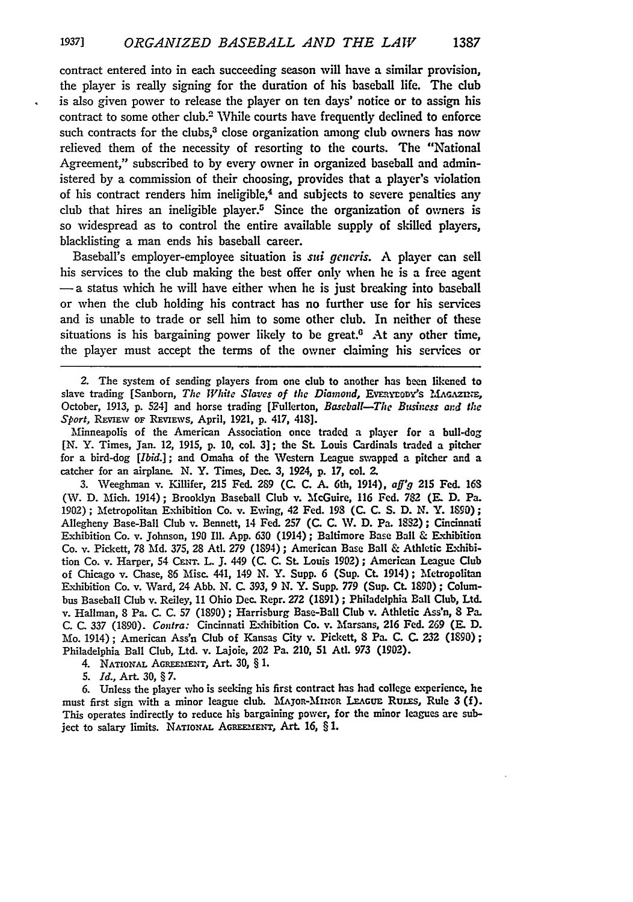contract entered into in each succeeding season will have a similar provision, the player is really signing for the duration of his baseball life. The club is also given power to release the player on ten days' notice or to assign his contract to some other club.2 While courts have frequently declined to enforce such contracts for the clubs,<sup>3</sup> close organization among club owners has now relieved them of the necessity of resorting to the courts. The "National Agreement," subscribed to by every owner in organized baseball and administered by a commission of their choosing, provides that a player's violation of his contract renders him ineligible,<sup>4</sup> and subjects to severe penalties any club that hires an ineligible player.<sup>5</sup> Since the organization of owners is so widespread as to control the entire available supply of skilled players, blacklisting a man ends his baseball career.

Baseball's employer-employee situation is *sui generis*. A player can sell his services to the club making the best offer only when he is a free agent  $-$ a status which he will have either when he is just breaking into baseball or when the club holding his contract has no further use for his services and is unable to trade or sell him to some other club. In neither of these situations is his bargaining power likely to be great. $6$  At any other time, the player must accept the terms of the owner claiming his services or

2. The system of sending players from one club to another has been likened to slave trading [Sanborn, The *White Slaves of the Diamond*, EvERYEODY's MAGAZINE, October, **1913, p.** 524] and horse trading [Fullerton, *Baseball-The Business and the Sport, REVIEW OF REVIEWS, April, 1921, p. 417, 418].* 

Minneapolis of the American Association once traded a player for a bull-dog **[N.** Y. Times, Jan. 12, 1915, **p. 10,** col. **3];** the **St.** Louis Cardinals traded a pitcher for a bird-dog [Ibid.]; and Omaha of the Western League swapped a pitcher and a catcher for an airplane. **N.** Y. Times, Dec. 3, 1924, **p. 17,** col. **2.**

**3.** Weeghman v. Killifer, **215** Fed. **2S9 (C. C. A.** 6th, 1914), *aff'9* **215** Fed. **163** (IV. **D.** Mich. 1914); Brooklyn Baseball Club v. McGuire, **116** Fed. **782** (E. **D.** Pa. **1902);** Metropolitan Exhibition Co. v. Ewing, 42 **Fed. 198 (C. C. S. D. N.** Y. 190); Allegheny Base-Ball Club v. Bennett, 14 Fed. **257 (C. C.** IV. **D.** Pa. **182);** Cincinnati Exhibition Co. v. Johnson, **190** Ill. App. **630** (1914); Baltimore Base Ball & Exhibition Co. v. Pickett, **78 Md.** 375, 28 Atl. 279 (1894) ; American Base Ball & Athletic Exhibition Co. v. Harper, 54 **CENr.** L. **J.** 449 **(C. C.** St. Louis **1902);** American League Club of Chicago v. Chase, **86** Misc. 441, 149 **N.** Y. Supp. **6** (Sup. Ct. 1914) **;** Metropolitan Exhibition Co. v. Ward, 24 **Abb. N. C. 393, 9 N.** Y. Supp. **779** (Sup. Ct. **1390) ;** Columbus Baseball Club v. Reiley, 11 Ohio Dec. Repr. 272 (1891) ; Philadelphia Ball Club, Ltd. v. Hallman, **8** Pa. **C. C.** 57 **(1890);** Harrisburg Base-Ball Club v. Athletic Ass'n, **8** Pa. **C. C. 337 (1890).** *Contra:* Cincinnati Exhibition Co. v. Marsans, **216 Fed.** 269 (E. **D.** Mo. 1914); American Ass'n Club of Kansas City v. Pickett, **8** Pa. **C. C. 232** (1890); Philadelphia Ball Club, Ltd. v. Lajoie, 202 Pa. 210, **51** Ad. 973 **(1902).**

4. **NATIONAL AGREEMENT,** Art. **30,** § **1.**

*5. Id.,* Art. **30,** § 7.

**6.** Unless the player who is seeking his first contract has had college experience, he must first sign with a minor league club. MAJOR-MINOR LEAGUE RULES, Rule 3 (f). This operates indirectly to reduce his bargaining power, for the minor leagues are subject to salary limits. NATIONAL AGREEMENT, Art. 16, § 1.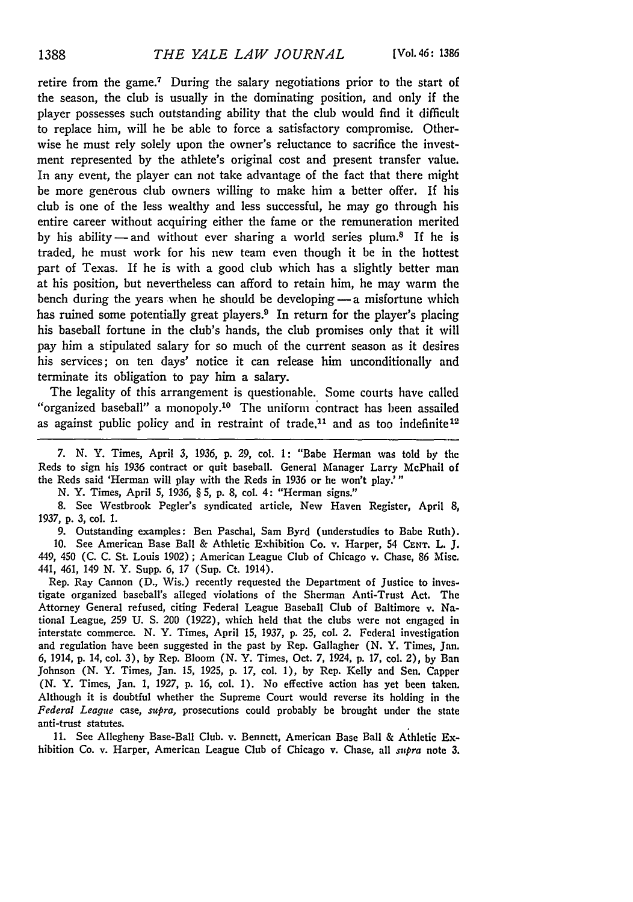retire from the game.7 During the salary negotiations prior to the start of the season, the club is usually in the dominating position, and only if the player possesses such outstanding ability that the club would find it difficult to replace him, will he be able to force a satisfactory compromise. Otherwise he must rely solely upon the owner's reluctance to sacrifice the investment represented **by** the athlete's original cost and present transfer value. In any event, the player can not take advantage of the fact that there might be more generous club owners willing to make him a better offer. If his club is one of the less wealthy and less successful, he may go through his entire career without acquiring either the fame or **the** remuneration merited **by** his ability- and without ever sharing a world series plum.8 If he is traded, he must work for his new team even though it be in the hottest part of Texas. If he is with a good club which has a slightly better man at his position, but nevertheless can afford to retain him, he may warm the bench during the years when he should be developing **-** a misfortune which has ruined some potentially great players.<sup>9</sup> In return for the player's placing his baseball fortune in the club's hands, the club promises only that it will pay him a stipulated salary for so much of the current season as it desires his services; on ten days' notice it can release him unconditionally and terminate its obligation to pay him a salary.

The legality of this arrangement is questionable. Some courts have called "organized baseball" a monopoly.<sup>10</sup> The uniform contract has been assailed as against public policy and in restraint of trade.<sup>11</sup> and as too indefinite<sup>12</sup>

*7.* N. Y. Times, April 3, 1936, p. **29,** col. 1: "Babe Herman was told by **the** Reds to sign his 1936 contract or quit baseball. General Manager Larry McPhail of the Reds said 'Herman will play with the Reds in **1936** or he won't play.'"

**N.** Y. Times, April *5,* **1936,** § 5, **p. 8,** col. 4: "Herman signs."

**8.** See Westbrook Pegler's syndicated article, New Haven Register, April **8, 1937, p. 3,** col. **1.**

**9.** Outstanding examples: Ben Paschal, Sam Byrd (understudies to Babe Ruth). **10.** See American Base Ball & Athletic Exhibition Co. v. Harper, 54 **CENT.** L. **J.** 449, 450 **(C. C.** St. Louis **1902)** ; American League Club of Chicago v. Chase, **86** Misc. 441, 461, 149 **N.** Y. Supp. **6, 17** (Sup. Ct. 1914).

Rep. Ray Cannon **(D.,** Wis.) recently requested the Department of Justice to investigate organized baseball's alleged violations of the Sherman Anti-Trust Act. The Attorney General refused, citing Federal League Baseball Club of Baltimore v. National League, **259 U. S.** 200 (1922), which held that the clubs were not engaged in interstate commerce. **N.** Y. Times, April **15, 1937, p. 25,** col. 2. Federal investigation and regulation have been suggested in the past **by** Rep. Gallagher **(N.** Y. Times, Jan. *6,* 1914, **p.** 14, col. **3), by** Rep. Bloom **(N.** Y. Times, Oct. **7,** 1924, **p. 17,** col. 2), **by** Ban Johnson **(N.** Y. Times, Jan. 15, 1925, **p.** 17, col. 1), **by** Rep. Kelly and Sen. Capper (N. Y. Times, Jan. 1, 1927, p. 16, col. 1). No effective action has yet been taken. Although it is doubtful whether the Supreme Court would reverse its holding in the *Federal League* case, *supra,* prosecutions could probably be brought under the state anti-trust statutes.

11. See Allegheny Base-Ball Club. v. Bennett, American Base Ball & Aihletic Exhibition Co. v. Harper, American League Club of Chicago v. Chase, all *suspra* note 3.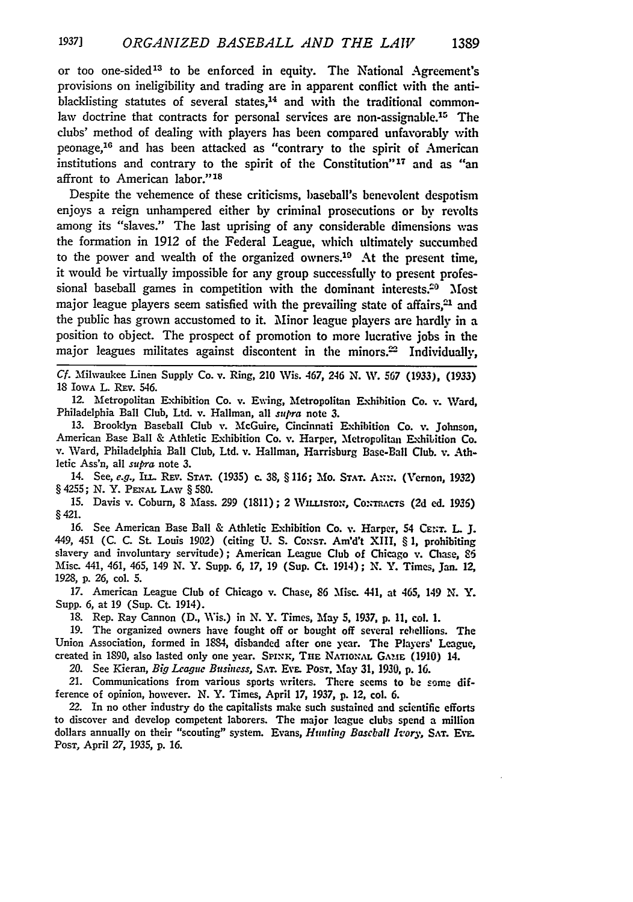or too one-sided<sup>13</sup> to be enforced in equity. The National Agreement's provisions on ineligibility and trading are in apparent conflict with the antiblacklisting statutes of several states.<sup>14</sup> and with the traditional commonlaw doctrine that contracts for personal services are non-assignable.<sup>15</sup> The clubs' method of dealing with players has been compared unfavorably with peonage,<sup>16</sup> and has been attacked as "contrary to the spirit of American institutions and contrary to the spirit of the Constitution"17 and as "an affront to American **labor.'' 1**

Despite the vehemence of these criticisms, baseball's benevolent despotism enjoys a reign unhampered either **by** criminal prosecutions or by revolts among its "slaves." The last uprising of any considerable dimensions was the formation in 1912 of the Federal League, which ultimately succumbed to the power and wealth of the organized owners.<sup>10</sup> At the present time, **it** would be virtually impossible for any group successfully to present professional baseball games in competition with the dominant interests.20 Most major league players seem satisfied with the prevailing state of affairs, $21$  and the public has grown accustomed to it. Minor league players are hardly in a position to object. The prospect of promotion to more lucrative jobs in the major leagues militates against discontent in the minors.<sup>22</sup> Individually,

**Cf.** Milwaukee Linen Supply Co. v. Ring, 210 Wis. 467, 246 **N.** W\. 567 **(1933), (1933)** 18 Iowa L. Rev. 546.

12. Metropolitan Exhibition Co. v. Ewing, Metropolitan Exhibition Co. v. Ward, Philadelphia Ball Club, Ltd. v. Hallman, all supra note **3.**

13. Brooklyn Baseball Club v. McGuire, Cincinnati Exhibition Co. v. Johnson, American Base Ball & Athletic Exhibition Co. **v.** Harper, Metropolitan Exhibition Co. v. Ward, Philadelphia Ball Club, Ltd. v. Hallman, Harrisburg Base-Ball **Club.** v. Athletic Ass'n, all supra note **3.**

14. See, **e.g.,** IL.. Rzv. **STAT.** (1935) c. **38,** § **116;** Mo. **STAT. AN;.** (Vernon, **1932)** *§* 4255; N. Y. **PENAL LAw** § 580.

15. Davis v. Coburn, 8 Mass. 299 (1811); 2 WILLISTON, CONTRACTS (2d ed. 1936) §421.

16. See American Base Ball & Athletic E.xhibition Co. v. Harper, 54 **CENT.** L J. 449, 451 (C. C. St. Louis 1902) (citing U. S. Consr. Am'd't XIII, § 1, prohibiting slavery and involuntary servitude); American League Club of Chicago v. Chase, **86** Misc. 441, 461, 465, 149 N. Y. Supp. **6, 17,** 19 (Sup. Ct. 1914) ; N. Y. Times, Jan. 12, 1928, p. 26, cal. 5.

17. American League Club of Chicago v. Chase, 86 Misc. 441, at 465, 149 N. Y. Supp. **6,** at 19 (Sup. Ct. 1914).

18. Rep. Ray Cannon (D., Wis.) in N. Y. Times, May **5,** 1937, p. **11,** col. 1.

19. The organized owners have fought off or bought off several rebellions. The Union Association, formed in 1884, disbanded after one year. The Players' League, created in 1890, also lasted only one year. SPINK, THE NATIONAL GAME (1910) 14.

20. See Kieran, *Big League Business,* **SAT.** Ev. PosT. May **31, 1930, p. 16.**

21. Communications from various sports writers. There seems to be some difference of opinion, however. **N.** Y. Times, April **17,** 1937, **p.** 12, col. **6.**

22. In no other industry do the capitalists make such sustained and scientific efforts to discover and develop competent laborers. The major league clubs spend a million dollars annually on their "scouting" system. Evans, *Hunting Baseball Ivory,* **SAT. Evr.** PosT, April *27,* 1935, **p.** *16.*